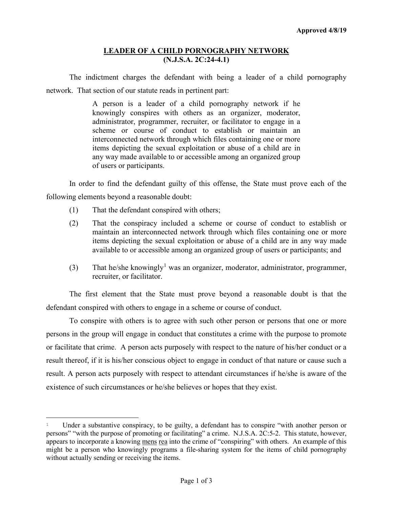## **LEADER OF A CHILD PORNOGRAPHY NETWORK (N.J.S.A. 2C:24-4.1)**

The indictment charges the defendant with being a leader of a child pornography network. That section of our statute reads in pertinent part:

> A person is a leader of a child pornography network if he knowingly conspires with others as an organizer, moderator, administrator, programmer, recruiter, or facilitator to engage in a scheme or course of conduct to establish or maintain an interconnected network through which files containing one or more items depicting the sexual exploitation or abuse of a child are in any way made available to or accessible among an organized group of users or participants.

In order to find the defendant guilty of this offense, the State must prove each of the following elements beyond a reasonable doubt:

- (1) That the defendant conspired with others;
- (2) That the conspiracy included a scheme or course of conduct to establish or maintain an interconnected network through which files containing one or more items depicting the sexual exploitation or abuse of a child are in any way made available to or accessible among an organized group of users or participants; and
- (3) That he/she knowingly<sup>[1](#page-0-0)</sup> was an organizer, moderator, administrator, programmer, recruiter, or facilitator.

The first element that the State must prove beyond a reasonable doubt is that the defendant conspired with others to engage in a scheme or course of conduct.

To conspire with others is to agree with such other person or persons that one or more persons in the group will engage in conduct that constitutes a crime with the purpose to promote or facilitate that crime. A person acts purposely with respect to the nature of his/her conduct or a result thereof, if it is his/her conscious object to engage in conduct of that nature or cause such a result. A person acts purposely with respect to attendant circumstances if he/she is aware of the existence of such circumstances or he/she believes or hopes that they exist.

<span id="page-0-0"></span>Ĩ <sup>1</sup> Under a substantive conspiracy, to be guilty, a defendant has to conspire "with another person or persons" "with the purpose of promoting or facilitating" a crime. N.J.S.A. 2C:5-2. This statute, however, appears to incorporate a knowing mens rea into the crime of "conspiring" with others. An example of this might be a person who knowingly programs a file-sharing system for the items of child pornography without actually sending or receiving the items.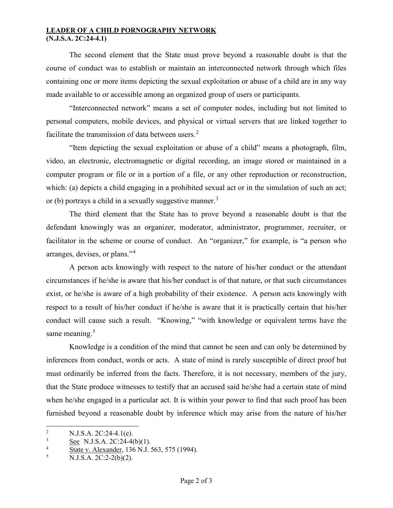## **LEADER OF A CHILD PORNOGRAPHY NETWORK (N.J.S.A. 2C:24-4.1)**

The second element that the State must prove beyond a reasonable doubt is that the course of conduct was to establish or maintain an interconnected network through which files containing one or more items depicting the sexual exploitation or abuse of a child are in any way made available to or accessible among an organized group of users or participants.

"Interconnected network" means a set of computer nodes, including but not limited to personal computers, mobile devices, and physical or virtual servers that are linked together to facilitate the transmission of data between users. $2$ 

"Item depicting the sexual exploitation or abuse of a child" means a photograph, film, video, an electronic, electromagnetic or digital recording, an image stored or maintained in a computer program or file or in a portion of a file, or any other reproduction or reconstruction, which: (a) depicts a child engaging in a prohibited sexual act or in the simulation of such an act; or (b) portrays a child in a sexually suggestive manner.<sup>[3](#page-1-1)</sup>

The third element that the State has to prove beyond a reasonable doubt is that the defendant knowingly was an organizer, moderator, administrator, programmer, recruiter, or facilitator in the scheme or course of conduct. An "organizer," for example, is "a person who arranges, devises, or plans."<sup>[4](#page-1-2)</sup>

A person acts knowingly with respect to the nature of his/her conduct or the attendant circumstances if he/she is aware that his/her conduct is of that nature, or that such circumstances exist, or he/she is aware of a high probability of their existence. A person acts knowingly with respect to a result of his/her conduct if he/she is aware that it is practically certain that his/her conduct will cause such a result. "Knowing," "with knowledge or equivalent terms have the same meaning.<sup>[5](#page-1-3)</sup>

Knowledge is a condition of the mind that cannot be seen and can only be determined by inferences from conduct, words or acts. A state of mind is rarely susceptible of direct proof but must ordinarily be inferred from the facts. Therefore, it is not necessary, members of the jury, that the State produce witnesses to testify that an accused said he/she had a certain state of mind when he/she engaged in a particular act. It is within your power to find that such proof has been furnished beyond a reasonable doubt by inference which may arise from the nature of his/her

<span id="page-1-0"></span> $\overline{2}$ <sup>2</sup> N.J.S.A. 2C:24-4.1(e).<br>
See N.J.S.A. 2C:24.40

<span id="page-1-1"></span> $\frac{3}{4}$  See N.J.S.A. 2C:24-4(b)(1).

<span id="page-1-2"></span> $\frac{4}{5}$  State v. Alexander, 136 N.J. 563, 575 (1994).

<span id="page-1-3"></span><sup>5</sup> N.J.S.A. 2C:2-2(b)(2).